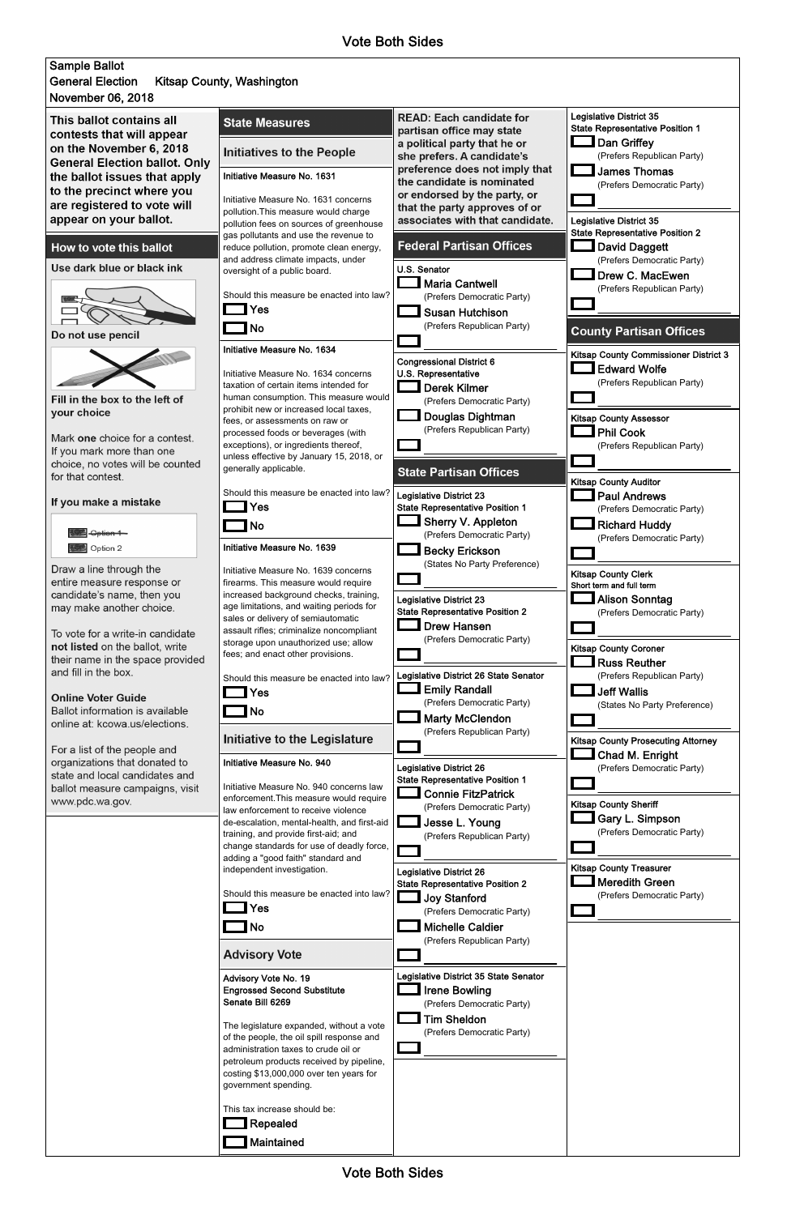



| Should this measure be enacted into law?<br>Yes<br>No<br><b>Advisory Vote</b>                                                                                                                                                                                                                                                                                                            | <b>Joy Stanford</b><br>(Prefers Democratic Party)<br><b>Michelle Caldier</b><br>(Prefers Republican Party)                                      | (Prefers Democratic Party) |
|------------------------------------------------------------------------------------------------------------------------------------------------------------------------------------------------------------------------------------------------------------------------------------------------------------------------------------------------------------------------------------------|-------------------------------------------------------------------------------------------------------------------------------------------------|----------------------------|
| Advisory Vote No. 19<br><b>Engrossed Second Substitute</b><br>Senate Bill 6269<br>The legislature expanded, without a vote<br>of the people, the oil spill response and<br>administration taxes to crude oil or<br>petroleum products received by pipeline,<br>costing \$13,000,000 over ten years for<br>government spending.<br>This tax increase should be:<br>Repealed<br>Maintained | Legislative District 35 State Senator<br><b>Irene Bowling</b><br>(Prefers Democratic Party)<br><b>Tim Sheldon</b><br>(Prefers Democratic Party) |                            |

Vote Both Sides